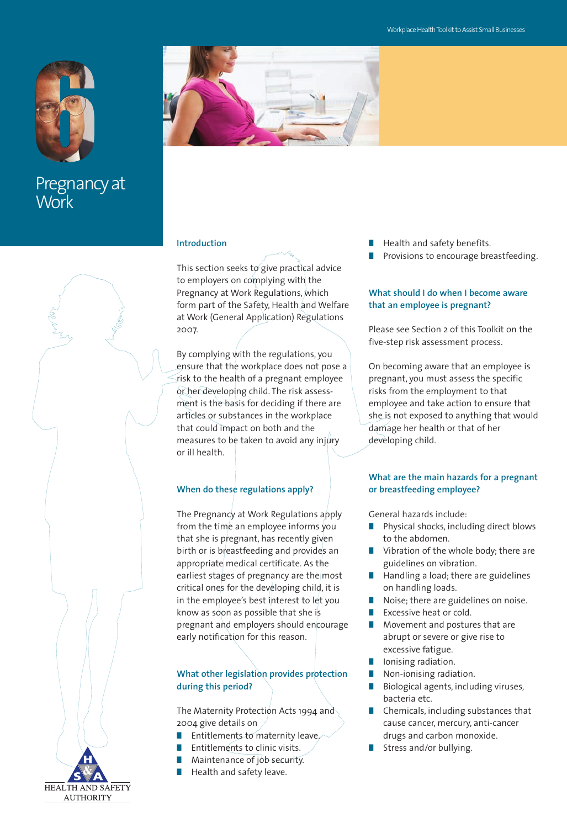

Pregnancy at **Work** 



## **Introduction**

This section seeks to give practical advice to employers on complying with the Pregnancy at Work Regulations, which form part of the Safety, Health and Welfare at Work (General Application) Regulations 2007.

By complying with the regulations, you ensure that the workplace does not pose a risk to the health of a pregnant employee or her developing child. The risk assessment is the basis for deciding if there are articles or substances in the workplace that could impact on both and the measures to be taken to avoid any injury or ill health.

## **When do these regulations apply?**

The Pregnancy at Work Regulations apply from the time an employee informs you that she is pregnant, has recently given birth or is breastfeeding and provides an appropriate medical certificate. As the earliest stages of pregnancy are the most critical ones for the developing child, it is in the employee's best interest to let you know as soon as possible that she is pregnant and employers should encourage early notification for this reason.

## **What other legislation provides protection during this period?**

The Maternity Protection Acts 1994 and 2004 give details on

- Entitlements to maternity leave,
- **Entitlements to clinic visits.**
- **■** Maintenance of job security.
- **■** Health and safety leave.
- **■** Health and safety benefits.
- Provisions to encourage breastfeeding.

## **What should I do when I become aware that an employee is pregnant?**

Please see Section 2 of this Toolkit on the five-step risk assessment process.

On becoming aware that an employee is pregnant, you must assess the specific risks from the employment to that employee and take action to ensure that she is not exposed to anything that would damage her health or that of her developing child.

## **What are the main hazards for a pregnant or breastfeeding employee?**

General hazards include:

- Physical shocks, including direct blows to the abdomen.
- **■** Vibration of the whole body; there are guidelines on vibration.
- **■** Handling a load; there are guidelines on handling loads.
- Noise; there are guidelines on noise.
- **Excessive heat or cold.**
- Movement and postures that are abrupt or severe or give rise to excessive fatigue.
- Ionising radiation.
- Non-ionising radiation.
- **■** Biological agents, including viruses, bacteria etc.
- Chemicals, including substances that cause cancer, mercury, anti-cancer drugs and carbon monoxide.
- **■** Stress and/or bullying.

**HEALTH AND SAFETY AUTHORITY**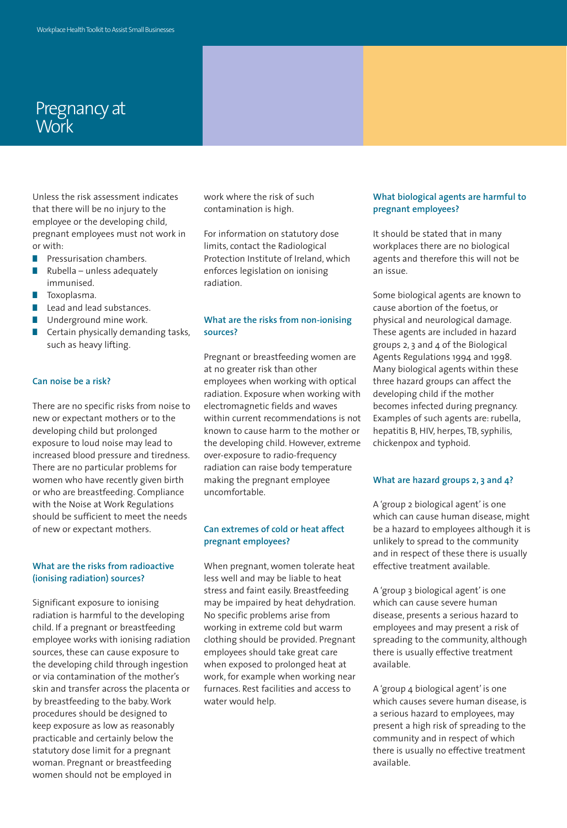# Pregnancy at **Work**

Unless the risk assessment indicates that there will be no injury to the employee or the developing child, pregnant employees must not work in or with:

- **■** Pressurisation chambers.
- **■** Rubella unless adequately immunised.
- **■** Toxoplasma.
- Lead and lead substances.
- Underground mine work.
- Certain physically demanding tasks, such as heavy lifting.

## **Can noise be a risk?**

There are no specific risks from noise to new or expectant mothers or to the developing child but prolonged exposure to loud noise may lead to increased blood pressure and tiredness. There are no particular problems for women who have recently given birth or who are breastfeeding. Compliance with the Noise at Work Regulations should be sufficient to meet the needs of new or expectant mothers.

#### **What are the risks from radioactive (ionising radiation) sources?**

Significant exposure to ionising radiation is harmful to the developing child. If a pregnant or breastfeeding employee works with ionising radiation sources, these can cause exposure to the developing child through ingestion or via contamination of the mother's skin and transfer across the placenta or by breastfeeding to the baby. Work procedures should be designed to keep exposure as low as reasonably practicable and certainly below the statutory dose limit for a pregnant woman. Pregnant or breastfeeding women should not be employed in

work where the risk of such contamination is high.

For information on statutory dose limits, contact the Radiological Protection Institute of Ireland, which enforces legislation on ionising radiation.

## **What are the risks from non-ionising sources?**

Pregnant or breastfeeding women are at no greater risk than other employees when working with optical radiation. Exposure when working with electromagnetic fields and waves within current recommendations is not known to cause harm to the mother or the developing child. However, extreme over-exposure to radio-frequency radiation can raise body temperature making the pregnant employee uncomfortable.

## **Can extremes of cold or heat affect pregnant employees?**

When pregnant, women tolerate heat less well and may be liable to heat stress and faint easily. Breastfeeding may be impaired by heat dehydration. No specific problems arise from working in extreme cold but warm clothing should be provided. Pregnant employees should take great care when exposed to prolonged heat at work, for example when working near furnaces. Rest facilities and access to water would help.

#### **What biological agents are harmful to pregnant employees?**

It should be stated that in many workplaces there are no biological agents and therefore this will not be an issue.

Some biological agents are known to cause abortion of the foetus, or physical and neurological damage. These agents are included in hazard groups 2, 3 and 4 of the Biological Agents Regulations 1994 and 1998. Many biological agents within these three hazard groups can affect the developing child if the mother becomes infected during pregnancy. Examples of such agents are: rubella, hepatitis B, HIV, herpes, TB, syphilis, chickenpox and typhoid.

#### **What are hazard groups 2, 3 and 4?**

A 'group 2 biological agent' is one which can cause human disease, might be a hazard to employees although it is unlikely to spread to the community and in respect of these there is usually effective treatment available.

A 'group 3 biological agent' is one which can cause severe human disease, presents a serious hazard to employees and may present a risk of spreading to the community, although there is usually effective treatment available.

A 'group 4 biological agent' is one which causes severe human disease, is a serious hazard to employees, may present a high risk of spreading to the community and in respect of which there is usually no effective treatment available.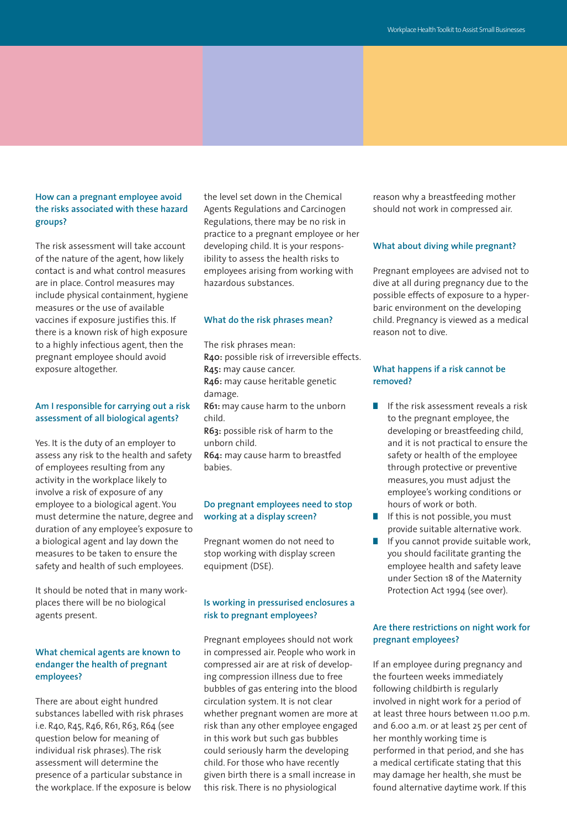## **How can a pregnant employee avoid the risks associated with these hazard groups?**

The risk assessment will take account of the nature of the agent, how likely contact is and what control measures are in place. Control measures may include physical containment, hygiene measures or the use of available vaccines if exposure justifies this. If there is a known risk of high exposure to a highly infectious agent, then the pregnant employee should avoid exposure altogether.

## **Am I responsible for carrying out a risk assessment of all biological agents?**

Yes. It is the duty of an employer to assess any risk to the health and safety of employees resulting from any activity in the workplace likely to involve a risk of exposure of any employee to a biological agent. You must determine the nature, degree and duration of any employee's exposure to a biological agent and lay down the measures to be taken to ensure the safety and health of such employees.

It should be noted that in many workplaces there will be no biological agents present.

## **What chemical agents are known to endanger the health of pregnant employees?**

There are about eight hundred substances labelled with risk phrases i.e. R40, R45, R46, R61, R63, R64 (see question below for meaning of individual risk phrases). The risk assessment will determine the presence of a particular substance in the workplace. If the exposure is below the level set down in the Chemical Agents Regulations and Carcinogen Regulations, there may be no risk in practice to a pregnant employee or her developing child. It is your responsibility to assess the health risks to employees arising from working with hazardous substances.

#### **What do the risk phrases mean?**

The risk phrases mean: **R40:** possible risk of irreversible effects. **R45:** may cause cancer. **R46:** may cause heritable genetic damage. **R61:** may cause harm to the unborn child. **R63:** possible risk of harm to the unborn child. **R64:** may cause harm to breastfed babies.

## **Do pregnant employees need to stop working at a display screen?**

Pregnant women do not need to stop working with display screen equipment (DSE).

## **Is working in pressurised enclosures a risk to pregnant employees?**

Pregnant employees should not work in compressed air. People who work in compressed air are at risk of developing compression illness due to free bubbles of gas entering into the blood circulation system. It is not clear whether pregnant women are more at risk than any other employee engaged in this work but such gas bubbles could seriously harm the developing child. For those who have recently given birth there is a small increase in this risk. There is no physiological

reason why a breastfeeding mother should not work in compressed air.

#### **What about diving while pregnant?**

Pregnant employees are advised not to dive at all during pregnancy due to the possible effects of exposure to a hyperbaric environment on the developing child. Pregnancy is viewed as a medical reason not to dive.

#### **What happens if a risk cannot be removed?**

- **■** If the risk assessment reveals a risk to the pregnant employee, the developing or breastfeeding child, and it is not practical to ensure the safety or health of the employee through protective or preventive measures, you must adjust the employee's working conditions or hours of work or both.
- If this is not possible, you must provide suitable alternative work.
- If you cannot provide suitable work, you should facilitate granting the employee health and safety leave under Section 18 of the Maternity Protection Act 1994 (see over).

## **Are there restrictions on night work for pregnant employees?**

If an employee during pregnancy and the fourteen weeks immediately following childbirth is regularly involved in night work for a period of at least three hours between 11.00 p.m. and 6.00 a.m. or at least 25 per cent of her monthly working time is performed in that period, and she has a medical certificate stating that this may damage her health, she must be found alternative daytime work. If this